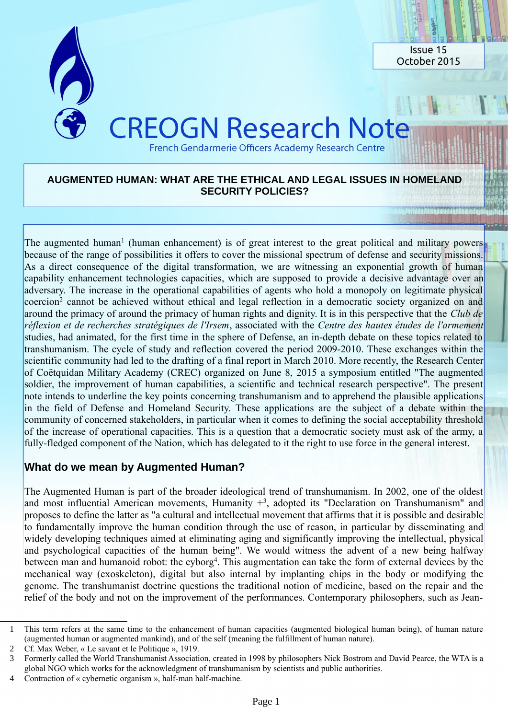

### **AUGMENTED HUMAN: WHAT ARE THE ETHICAL AND LEGAL ISSUES IN HOMELAND SECURITY POLICIES?**

The augmented human<sup>[1](#page-0-0)</sup> (human enhancement) is of great interest to the great political and military powers because of the range of possibilities it offers to cover the missional spectrum of defense and security missions. As a direct consequence of the digital transformation, we are witnessing an exponential growth of human capability enhancement technologies capacities, which are supposed to provide a decisive advantage over an adversary. The increase in the operational capabilities of agents who hold a monopoly on legitimate physical coercion<sup>[2](#page-0-1)</sup> cannot be achieved without ethical and legal reflection in a democratic society organized on and around the primacy of around the primacy of human rights and dignity. It is in this perspective that the *Club de réflexion et de recherches stratégiques de l'Irsem*, associated with the *Centre des hautes études de l'armement* studies, had animated, for the first time in the sphere of Defense, an in-depth debate on these topics related to transhumanism. The cycle of study and reflection covered the period 2009-2010. These exchanges within the scientific community had led to the drafting of a final report in March 2010. More recently, the Research Center of Coëtquidan Military Academy (CREC) organized on June 8, 2015 a symposium entitled "The augmented soldier, the improvement of human capabilities, a scientific and technical research perspective". The present note intends to underline the key points concerning transhumanism and to apprehend the plausible applications in the field of Defense and Homeland Security. These applications are the subject of a debate within the community of concerned stakeholders, in particular when it comes to defining the social acceptability threshold of the increase of operational capacities. This is a question that a democratic society must ask of the army, a fully-fledged component of the Nation, which has delegated to it the right to use force in the general interest.

# **What do we mean by Augmented Human?**

The Augmented Human is part of the broader ideological trend of transhumanism. In 2002, one of the oldest and most influential American movements, Humanity  $+3$  $+3$ , adopted its "Declaration on Transhumanism" and proposes to define the latter as "a cultural and intellectual movement that affirms that it is possible and desirable to fundamentally improve the human condition through the use of reason, in particular by disseminating and widely developing techniques aimed at eliminating aging and significantly improving the intellectual, physical and psychological capacities of the human being". We would witness the advent of a new being halfway between man and humanoid robot: the cyborg<sup>[4](#page-0-3)</sup>. This augmentation can take the form of external devices by the mechanical way (exoskeleton), digital but also internal by implanting chips in the body or modifying the genome. The transhumanist doctrine questions the traditional notion of medicine, based on the repair and the relief of the body and not on the improvement of the performances. Contemporary philosophers, such as Jean-

<span id="page-0-0"></span><sup>1</sup> This term refers at the same time to the enhancement of human capacities (augmented biological human being), of human nature (augmented human or augmented mankind), and of the self (meaning the fulfillment of human nature).

<span id="page-0-1"></span><sup>2</sup> Cf. Max Weber, « Le savant et le Politique », 1919.

<span id="page-0-2"></span><sup>3</sup> Formerly called the World Transhumanist Association, created in 1998 by philosophers Nick Bostrom and David Pearce, the WTA is a global NGO which works for the acknowledgment of transhumanism by scientists and public authorities.

<span id="page-0-3"></span><sup>4</sup> Contraction of « cybernetic organism », half-man half-machine.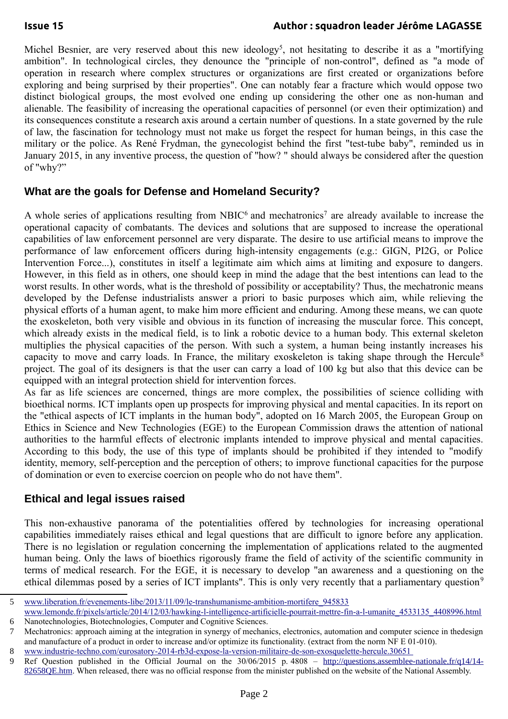### **Issue 15 Author : squadron leader Jérôme LAGASSE**

Michel Besnier, are very reserved about this new ideology<sup>[5](#page-1-0)</sup>, not hesitating to describe it as a "mortifying ambition". In technological circles, they denounce the "principle of non-control", defined as "a mode of operation in research where complex structures or organizations are first created or organizations before exploring and being surprised by their properties". One can notably fear a fracture which would oppose two distinct biological groups, the most evolved one ending up considering the other one as non-human and alienable. The feasibility of increasing the operational capacities of personnel (or even their optimization) and its consequences constitute a research axis around a certain number of questions. In a state governed by the rule of law, the fascination for technology must not make us forget the respect for human beings, in this case the military or the police. As René Frydman, the gynecologist behind the first "test-tube baby", reminded us in January 2015, in any inventive process, the question of "how? " should always be considered after the question of "why?"

# **What are the goals for Defense and Homeland Security?**

A whole series of applications resulting from NBIC $<sup>6</sup>$  $<sup>6</sup>$  $<sup>6</sup>$  and mechatronics<sup>[7](#page-1-2)</sup> are already available to increase the</sup> operational capacity of combatants. The devices and solutions that are supposed to increase the operational capabilities of law enforcement personnel are very disparate. The desire to use artificial means to improve the performance of law enforcement officers during high-intensity engagements (e.g.: GIGN, PI2G, or Police Intervention Force...), constitutes in itself a legitimate aim which aims at limiting and exposure to dangers. However, in this field as in others, one should keep in mind the adage that the best intentions can lead to the worst results. In other words, what is the threshold of possibility or acceptability? Thus, the mechatronic means developed by the Defense industrialists answer a priori to basic purposes which aim, while relieving the physical efforts of a human agent, to make him more efficient and enduring. Among these means, we can quote the exoskeleton, both very visible and obvious in its function of increasing the muscular force. This concept, which already exists in the medical field, is to link a robotic device to a human body. This external skeleton multiplies the physical capacities of the person. With such a system, a human being instantly increases his capacity to move and carry loads. In France, the military exoskeleton is taking shape through the Hercule[8](#page-1-3) project. The goal of its designers is that the user can carry a load of 100 kg but also that this device can be equipped with an integral protection shield for intervention forces.

As far as life sciences are concerned, things are more complex, the possibilities of science colliding with bioethical norms. ICT implants open up prospects for improving physical and mental capacities. In its report on the "ethical aspects of ICT implants in the human body", adopted on 16 March 2005, the European Group on Ethics in Science and New Technologies (EGE) to the European Commission draws the attention of national authorities to the harmful effects of electronic implants intended to improve physical and mental capacities. According to this body, the use of this type of implants should be prohibited if they intended to "modify identity, memory, self-perception and the perception of others; to improve functional capacities for the purpose of domination or even to exercise coercion on people who do not have them".

# **Ethical and legal issues raised**

This non-exhaustive panorama of the potentialities offered by technologies for increasing operational capabilities immediately raises ethical and legal questions that are difficult to ignore before any application. There is no legislation or regulation concerning the implementation of applications related to the augmented human being. Only the laws of bioethics rigorously frame the field of activity of the scientific community in terms of medical research. For the EGE, it is necessary to develop "an awareness and a questioning on the ethical dilemmas posed by a series of ICT implants". This is only very recently that a parliamentary question<sup>[9](#page-1-4)</sup>

<span id="page-1-0"></span><sup>5</sup> [www.liberation.fr/evenements-libe/2013/11/09/le-transhumanisme-ambition-mortifere\\_945833](http://www.liberation.fr/evenements-libe/2013/11/09/le-transhumanisme-ambition-mortifere_945833)

<span id="page-1-1"></span>[www.lemonde.fr/pixels/article/2014/12/03/hawking-l-intelligence-artificielle-pourrait-mettre-fin-a-l-umanite\\_4533135\\_4408996.html](http://www.lemonde.fr/pixels/article/2014/12/03/hawking-l-intelligence-artificielle-pourrait-mettre-fin-a-l-umanite_4533135_4408996.html) 6 Nanotechnologies, Biotechnologies, Computer and Cognitive Sciences.

<span id="page-1-2"></span><sup>7</sup> Mechatronics: approach aiming at the integration in synergy of mechanics, electronics, automation and computer science in thedesign and manufacture of a product in order to increase and/or optimize its functionality. (extract from the norm NF E 01-010). 8 [www.industrie-techno.com/eurosatory-2014-rb3d-expose-la-version-militaire-de-son-exosquelette-hercule.30651](https://www.usinenouvelle.com/article/eurosatory-2014-rb3d-expose-la-version-militaire-de-son-exosquelette-hercule.N1859017)

<span id="page-1-4"></span><span id="page-1-3"></span>

<sup>9</sup> Ref Question published in the Official Journal on the 30/06/2015 p. 4808 – [http://questions.assemblee-nationale.fr/q14/14-](http://questions.assemblee-nationale.fr/q14/14-82658QE.htm) [82658QE.htm](http://questions.assemblee-nationale.fr/q14/14-82658QE.htm). When released, there was no official response from the minister published on the website of the National Assembly.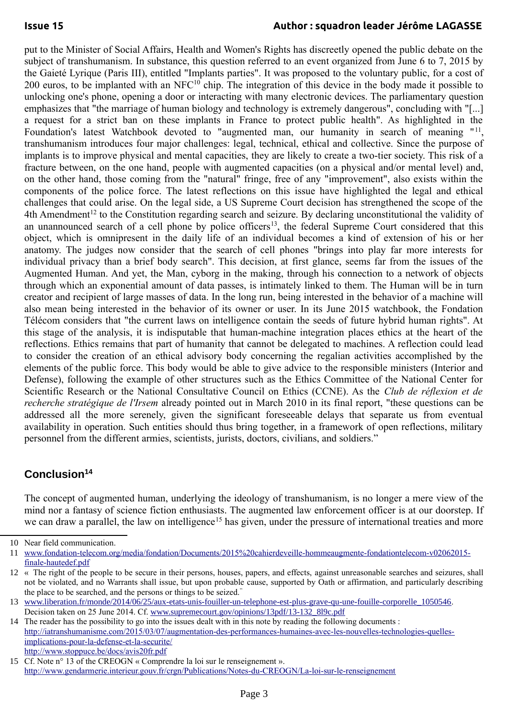put to the Minister of Social Affairs, Health and Women's Rights has discreetly opened the public debate on the subject of transhumanism. In substance, this question referred to an event organized from June 6 to 7, 2015 by the Gaieté Lyrique (Paris III), entitled "Implants parties". It was proposed to the voluntary public, for a cost of 200 euros, to be implanted with an NFC<sup>[10](#page-2-0)</sup> chip. The integration of this device in the body made it possible to unlocking one's phone, opening a door or interacting with many electronic devices. The parliamentary question emphasizes that "the marriage of human biology and technology is extremely dangerous", concluding with "[...] a request for a strict ban on these implants in France to protect public health". As highlighted in the Foundation's latest Watchbook devoted to "augmented man, our humanity in search of meaning "<sup>[11](#page-2-1)</sup>, transhumanism introduces four major challenges: legal, technical, ethical and collective. Since the purpose of implants is to improve physical and mental capacities, they are likely to create a two-tier society. This risk of a fracture between, on the one hand, people with augmented capacities (on a physical and/or mental level) and, on the other hand, those coming from the "natural" fringe, free of any "improvement", also exists within the components of the police force. The latest reflections on this issue have highlighted the legal and ethical challenges that could arise. On the legal side, a US Supreme Court decision has strengthened the scope of the  $4th$  Amendment<sup>[12](#page-2-2)</sup> to the Constitution regarding search and seizure. By declaring unconstitutional the validity of an unannounced search of a cell phone by police officers<sup>[13](#page-2-3)</sup>, the federal Supreme Court considered that this object, which is omnipresent in the daily life of an individual becomes a kind of extension of his or her anatomy. The judges now consider that the search of cell phones "brings into play far more interests for individual privacy than a brief body search". This decision, at first glance, seems far from the issues of the Augmented Human. And yet, the Man, cyborg in the making, through his connection to a network of objects through which an exponential amount of data passes, is intimately linked to them. The Human will be in turn creator and recipient of large masses of data. In the long run, being interested in the behavior of a machine will also mean being interested in the behavior of its owner or user. In its June 2015 watchbook, the Fondation Télécom considers that "the current laws on intelligence contain the seeds of future hybrid human rights". At this stage of the analysis, it is indisputable that human-machine integration places ethics at the heart of the reflections. Ethics remains that part of humanity that cannot be delegated to machines. A reflection could lead to consider the creation of an ethical advisory body concerning the regalian activities accomplished by the elements of the public force. This body would be able to give advice to the responsible ministers (Interior and Defense), following the example of other structures such as the Ethics Committee of the National Center for Scientific Research or the National Consultative Council on Ethics (CCNE). As the *Club de réflexion et de recherche stratégique de l'Irsem* already pointed out in March 2010 in its final report, "these questions can be addressed all the more serenely, given the significant foreseeable delays that separate us from eventual availability in operation. Such entities should thus bring together, in a framework of open reflections, military personnel from the different armies, scientists, jurists, doctors, civilians, and soldiers."

# **Conclusion[14](#page-2-4)**

The concept of augmented human, underlying the ideology of transhumanism, is no longer a mere view of the mind nor a fantasy of science fiction enthusiasts. The augmented law enforcement officer is at our doorstep. If we can draw a parallel, the law on intelligence<sup>[15](#page-2-5)</sup> has given, under the pressure of international treaties and more

<span id="page-2-0"></span><sup>10</sup> Near field communication.

<span id="page-2-1"></span><sup>11</sup> [www.fondation-telecom.org/media/fondation/Documents/2015%20cahierdeveille-hommeaugmente-fondationtelecom-v02062015](https://www.fondation-mines-telecom.org/wp-content/uploads/2016/01/2015-CahierDeVeille-HommeAugmente.pdf) [finale-hautedef.pdf](https://www.fondation-mines-telecom.org/wp-content/uploads/2016/01/2015-CahierDeVeille-HommeAugmente.pdf)

<span id="page-2-2"></span><sup>12</sup> « The right of the people to be secure in their persons, houses, papers, and effects, against unreasonable searches and seizures, shall not be violated, and no Warrants shall issue, but upon probable cause, supported by Oath or affirmation, and particularly describing the place to be searched, and the persons or things to be seized."

<span id="page-2-3"></span><sup>13</sup> [www.liberation.fr/monde/2014/06/25/aux-etats-unis-fouiller-un-telephone-est-plus-grave-qu-une-fouille-corporelle\\_1050546](https://www.liberation.fr/planete/2014/06/25/aux-etats-unis-fouiller-un-telephone-est-plus-grave-qu-une-fouille-corporelle_1050546/). Decision taken on 25 June 2014. Cf. [www.supremecourt.gov/opinions/13pdf/13-132\\_8l9c.pdf](https://www.law.cornell.edu/supct/pdf/13-132.pdf)

<span id="page-2-4"></span><sup>14</sup> The reader has the possibility to go into the issues dealt with in this note by reading the following documents : [http://iatranshumanisme.com/2015/03/07/augmentation-des-performances-humaines-avec-les-nouvelles-technologies-quelles](http://iatranshumanisme.com/2015/03/07/augmentation-des-performances-humaines-avec-les-nouvelles-technologies-quelles-implications-pour-la-defense-et-la-securite/)[implications-pour-la-defense-et-la-securite/](http://iatranshumanisme.com/2015/03/07/augmentation-des-performances-humaines-avec-les-nouvelles-technologies-quelles-implications-pour-la-defense-et-la-securite/) <http://www.stoppuce.be/docs/avis20fr.pdf>

<span id="page-2-5"></span><sup>15</sup> Cf. Note n° 13 of the CREOGN « Comprendre la loi sur le renseignement ». <http://www.gendarmerie.interieur.gouv.fr/crgn/Publications/Notes-du-CREOGN/La-loi-sur-le-renseignement>